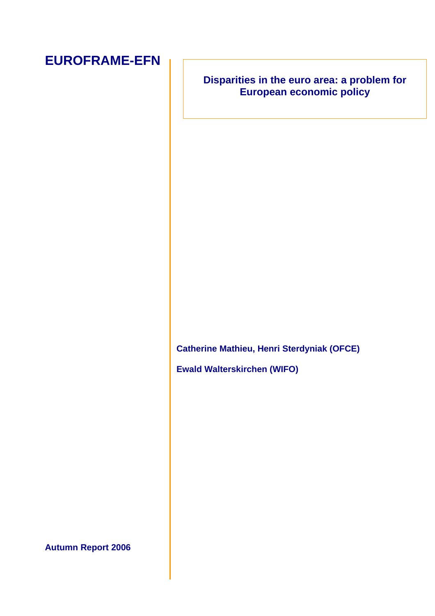## **EUROFRAME-EFN**

## **Disparities in the euro area: a problem for European economic policy**

**Catherine Mathieu, Henri Sterdyniak (OFCE)** 

**Ewald Walterskirchen (WIFO)** 

**Autumn Report 2006**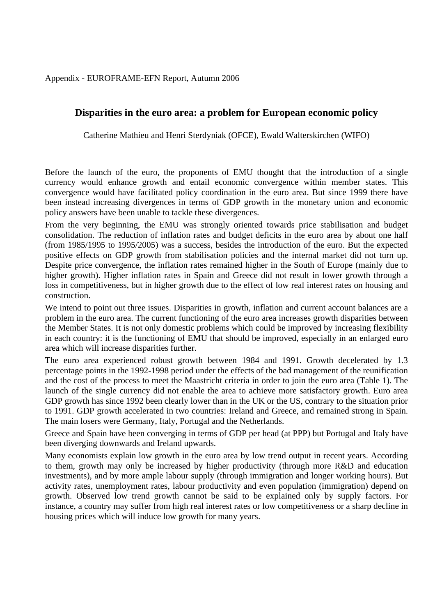Appendix - EUROFRAME-EFN Report, Autumn 2006

## **Disparities in the euro area: a problem for European economic policy**

Catherine Mathieu and Henri Sterdyniak (OFCE), Ewald Walterskirchen (WIFO)

Before the launch of the euro, the proponents of EMU thought that the introduction of a single currency would enhance growth and entail economic convergence within member states. This convergence would have facilitated policy coordination in the euro area. But since 1999 there have been instead increasing divergences in terms of GDP growth in the monetary union and economic policy answers have been unable to tackle these divergences.

From the very beginning, the EMU was strongly oriented towards price stabilisation and budget consolidation. The reduction of inflation rates and budget deficits in the euro area by about one half (from 1985/1995 to 1995/2005) was a success, besides the introduction of the euro. But the expected positive effects on GDP growth from stabilisation policies and the internal market did not turn up. Despite price convergence, the inflation rates remained higher in the South of Europe (mainly due to higher growth). Higher inflation rates in Spain and Greece did not result in lower growth through a loss in competitiveness, but in higher growth due to the effect of low real interest rates on housing and construction.

We intend to point out three issues. Disparities in growth, inflation and current account balances are a problem in the euro area. The current functioning of the euro area increases growth disparities between the Member States. It is not only domestic problems which could be improved by increasing flexibility in each country: it is the functioning of EMU that should be improved, especially in an enlarged euro area which will increase disparities further.

The euro area experienced robust growth between 1984 and 1991. Growth decelerated by 1.3 percentage points in the 1992-1998 period under the effects of the bad management of the reunification and the cost of the process to meet the Maastricht criteria in order to join the euro area (Table 1). The launch of the single currency did not enable the area to achieve more satisfactory growth. Euro area GDP growth has since 1992 been clearly lower than in the UK or the US, contrary to the situation prior to 1991. GDP growth accelerated in two countries: Ireland and Greece, and remained strong in Spain. The main losers were Germany, Italy, Portugal and the Netherlands.

Greece and Spain have been converging in terms of GDP per head (at PPP) but Portugal and Italy have been diverging downwards and Ireland upwards.

Many economists explain low growth in the euro area by low trend output in recent years. According to them, growth may only be increased by higher productivity (through more R&D and education investments), and by more ample labour supply (through immigration and longer working hours). But activity rates, unemployment rates, labour productivity and even population (immigration) depend on growth. Observed low trend growth cannot be said to be explained only by supply factors. For instance, a country may suffer from high real interest rates or low competitiveness or a sharp decline in housing prices which will induce low growth for many years.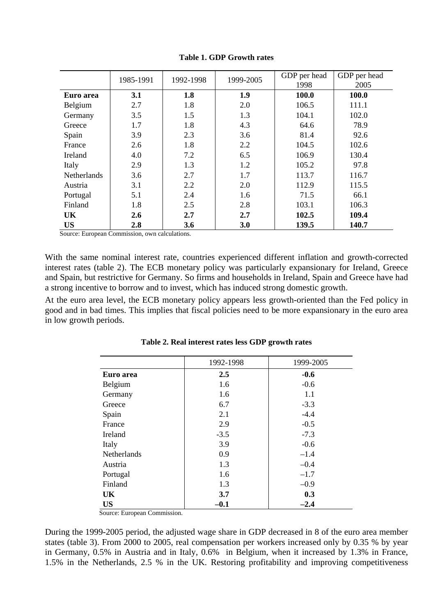|                    | 1985-1991 | 1992-1998 | 1999-2005 | GDP per head<br>1998 | GDP per head<br>2005 |
|--------------------|-----------|-----------|-----------|----------------------|----------------------|
| Euro area          | 3.1       | 1.8       | 1.9       | 100.0                | 100.0                |
| Belgium            | 2.7       | 1.8       | 2.0       | 106.5                | 111.1                |
| Germany            | 3.5       | 1.5       | 1.3       | 104.1                | 102.0                |
| Greece             | 1.7       | 1.8       | 4.3       | 64.6                 | 78.9                 |
| Spain              | 3.9       | 2.3       | 3.6       | 81.4                 | 92.6                 |
| France             | 2.6       | 1.8       | 2.2       | 104.5                | 102.6                |
| Ireland            | 4.0       | 7.2       | 6.5       | 106.9                | 130.4                |
| Italy              | 2.9       | 1.3       | 1.2       | 105.2                | 97.8                 |
| <b>Netherlands</b> | 3.6       | 2.7       | 1.7       | 113.7                | 116.7                |
| Austria            | 3.1       | 2.2       | 2.0       | 112.9                | 115.5                |
| Portugal           | 5.1       | 2.4       | 1.6       | 71.5                 | 66.1                 |
| Finland            | 1.8       | 2.5       | 2.8       | 103.1                | 106.3                |
| UK                 | 2.6       | 2.7       | 2.7       | 102.5                | 109.4                |
| <b>US</b>          | 2.8       | 3.6       | 3.0       | 139.5                | 140.7                |

**Table 1. GDP Growth rates** 

Source: European Commission, own calculations.

With the same nominal interest rate, countries experienced different inflation and growth-corrected interest rates (table 2). The ECB monetary policy was particularly expansionary for Ireland, Greece and Spain, but restrictive for Germany. So firms and households in Ireland, Spain and Greece have had a strong incentive to borrow and to invest, which has induced strong domestic growth.

At the euro area level, the ECB monetary policy appears less growth-oriented than the Fed policy in good and in bad times. This implies that fiscal policies need to be more expansionary in the euro area in low growth periods.

|             | 1992-1998 | 1999-2005 |
|-------------|-----------|-----------|
| Euro area   | 2.5       | $-0.6$    |
| Belgium     | 1.6       | $-0.6$    |
| Germany     | 1.6       | 1.1       |
| Greece      | 6.7       | $-3.3$    |
| Spain       | 2.1       | $-4.4$    |
| France      | 2.9       | $-0.5$    |
| Ireland     | $-3.5$    | $-7.3$    |
| Italy       | 3.9       | $-0.6$    |
| Netherlands | 0.9       | $-1.4$    |
| Austria     | 1.3       | $-0.4$    |
| Portugal    | 1.6       | $-1.7$    |
| Finland     | 1.3       | $-0.9$    |
| UK          | 3.7       | 0.3       |
| <b>US</b>   | $-0.1$    | $-2.4$    |

**Table 2. Real interest rates less GDP growth rates** 

Source: European Commission.

During the 1999-2005 period, the adjusted wage share in GDP decreased in 8 of the euro area member states (table 3). From 2000 to 2005, real compensation per workers increased only by 0.35 % by year in Germany, 0.5% in Austria and in Italy, 0.6% in Belgium, when it increased by 1.3% in France, 1.5% in the Netherlands, 2.5 % in the UK. Restoring profitability and improving competitiveness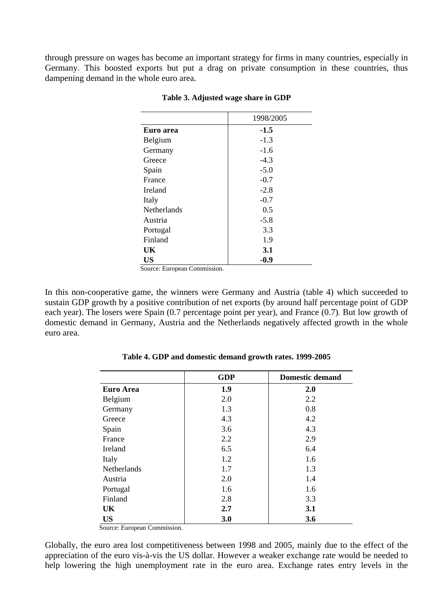through pressure on wages has become an important strategy for firms in many countries, especially in Germany. This boosted exports but put a drag on private consumption in these countries, thus dampening demand in the whole euro area.

|                    | 1998/2005 |
|--------------------|-----------|
| Euro area          | $-1.5$    |
| Belgium            | $-1.3$    |
| Germany            | $-1.6$    |
| Greece             | $-4.3$    |
| Spain              | $-5.0$    |
| France             | $-0.7$    |
| <b>Ireland</b>     | $-2.8$    |
| Italy              | $-0.7$    |
| <b>Netherlands</b> | 0.5       |
| Austria            | $-5.8$    |
| Portugal           | 3.3       |
| Finland            | 1.9       |
| UK                 | 3.1       |
| <b>US</b>          | $-0.9$    |

**Table 3. Adjusted wage share in GDP** 

Source: European Commission.

In this non-cooperative game, the winners were Germany and Austria (table 4) which succeeded to sustain GDP growth by a positive contribution of net exports (by around half percentage point of GDP each year). The losers were Spain (0.7 percentage point per year), and France (0.7). But low growth of domestic demand in Germany, Austria and the Netherlands negatively affected growth in the whole euro area.

|                    | <b>GDP</b> | <b>Domestic demand</b> |
|--------------------|------------|------------------------|
| <b>Euro Area</b>   | 1.9        | 2.0                    |
| Belgium            | 2.0        | 2.2                    |
| Germany            | 1.3        | 0.8                    |
| Greece             | 4.3        | 4.2                    |
| Spain              | 3.6        | 4.3                    |
| France             | 2.2        | 2.9                    |
| Ireland            | 6.5        | 6.4                    |
| Italy              | 1.2        | 1.6                    |
| <b>Netherlands</b> | 1.7        | 1.3                    |
| Austria            | 2.0        | 1.4                    |
| Portugal           | 1.6        | 1.6                    |
| Finland            | 2.8        | 3.3                    |
| UK                 | 2.7        | 3.1                    |
| <b>US</b>          | 3.0        | 3.6                    |

**Table 4. GDP and domestic demand growth rates. 1999-2005** 

Source: European Commission.

Globally, the euro area lost competitiveness between 1998 and 2005, mainly due to the effect of the appreciation of the euro vis-à-vis the US dollar. However a weaker exchange rate would be needed to help lowering the high unemployment rate in the euro area. Exchange rates entry levels in the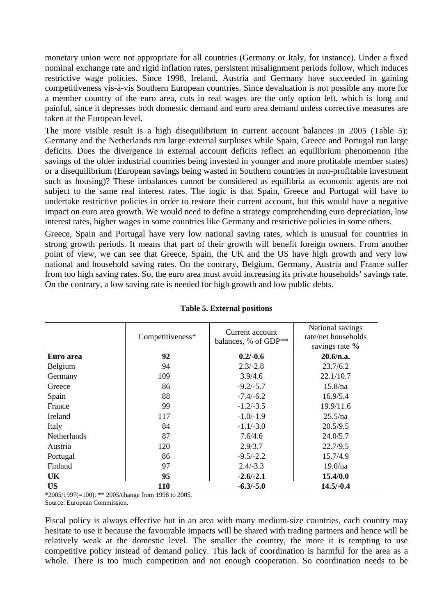monetary union were not appropriate for all countries (Germany or Italy, for instance). Under a fixed nominal exchange rate and rigid inflation rates, persistent misalignment periods follow, which induces restrictive wage policies. Since 1998, Ireland, Austria and Germany have succeeded in gaining competitiveness vis-à-vis Southern European countries. Since devaluation is not possible any more for a member country of the euro area, cuts in real wages are the only option left, which is long and painful, since it depresses both domestic demand and euro area demand unless corrective measures are taken at the European level.

The more visible result is a high disequilibrium in current account balances in 2005 (Table 5): Germany and the Netherlands run large external surpluses while Spain, Greece and Portugal run large deficits. Does the divergence in external account deficits reflect an equilibrium phenomenon (the savings of the older industrial countries being invested in younger and more profitable member states) or a disequilibrium (European savings being wasted in Southern countries in non-profitable investment such as housing)? These imbalances cannot be considered as equilibria as economic agents are not subject to the same real interest rates. The logic is that Spain, Greece and Portugal will have to undertake restrictive policies in order to restore their current account, but this would have a negative impact on euro area growth. We would need to define a strategy comprehending euro depreciation, low interest rates, higher wages in some countries like Germany and restrictive policies in some others.

Greece, Spain and Portugal have very low national saving rates, which is unusual for countries in strong growth periods. It means that part of their growth will benefit foreign owners. From another point of view, we can see that Greece, Spain, the UK and the US have high growth and very low national and household saving rates. On the contrary, Belgium, Germany, Austria and France suffer from too high saving rates. So, the euro area must avoid increasing its private households' savings rate. On the contrary, a low saving rate is needed for high growth and low public debts.

|                    | Competitiveness* | Current account<br>balances, % of GDP** | National savings<br>rate/net households<br>savings rate % |
|--------------------|------------------|-----------------------------------------|-----------------------------------------------------------|
| Euro area          | 92               | $0.2/-0.6$                              | 20.6/n.a.                                                 |
| Belgium            | 94               | $2.3/-2.8$                              | 23.7/6.2                                                  |
| Germany            | 109              | 3.9/4.6                                 | 22.1/10.7                                                 |
| Greece             | 86               | $-9.2/-5.7$                             | 15.8/na                                                   |
| Spain              | 88               | $-7.4/-6.2$                             | 16.9/5.4                                                  |
| France             | 99               | $-1.2/-3.5$                             | 19.9/11.6                                                 |
| Ireland            | 117              | $-1.0/-1.9$                             | 25.5/na                                                   |
| Italy              | 84               | $-1.1/-3.0$                             | 20.5/9.5                                                  |
| <b>Netherlands</b> | 87               | 7.6/4.6                                 | 24.0/5.7                                                  |
| Austria            | 120              | 2.9/3.7                                 | 22.7/9.5                                                  |
| Portugal           | 86               | $-9.5/-2.2$                             | 15.7/4.9                                                  |
| Finland            | 97               | $2.4/-3.3$                              | 19.0/na                                                   |
| UK.                | 95               | $-2.6/-2.1$                             | 15.4/0.0                                                  |
| <b>US</b>          | 110              | $-6.3/-5.0$                             | $14.5/-0.4$                                               |

## **Table 5. External positions**

\*2005/1997(=100); \*\* 2005/change from 1998 to 2005.

Source: European Commission.

Fiscal policy is always effective but in an area with many medium-size countries, each country may hesitate to use it because the favourable impacts will be shared with trading partners and hence will be relatively weak at the domestic level. The smaller the country, the more it is tempting to use competitive policy instead of demand policy. This lack of coordination is harmful for the area as a whole. There is too much competition and not enough cooperation. So coordination needs to be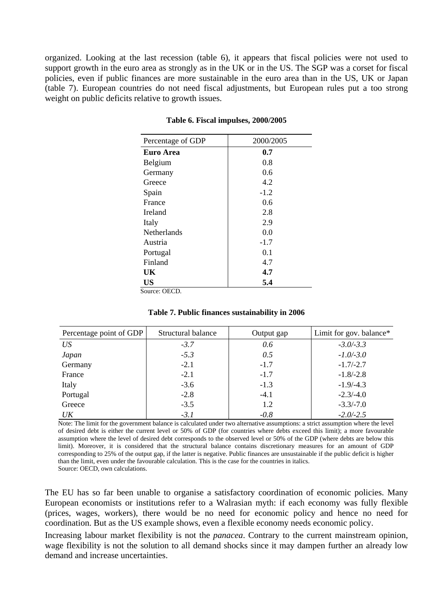organized. Looking at the last recession (table 6), it appears that fiscal policies were not used to support growth in the euro area as strongly as in the UK or in the US. The SGP was a corset for fiscal policies, even if public finances are more sustainable in the euro area than in the US, UK or Japan (table 7). European countries do not need fiscal adjustments, but European rules put a too strong weight on public deficits relative to growth issues.

| Percentage of GDP  | 2000/2005 |
|--------------------|-----------|
| Euro Area          | 0.7       |
| Belgium            | 0.8       |
| Germany            | 0.6       |
| Greece             | 4.2       |
| Spain              | $-1.2$    |
| France             | 0.6       |
| Ireland            | 2.8       |
| Italy              | 2.9       |
| <b>Netherlands</b> | 0.0       |
| Austria            | $-1.7$    |
| Portugal           | 0.1       |
| Finland            | 4.7       |
| UK                 | 4.7       |
| US                 | 5.4       |

**Table 6. Fiscal impulses, 2000/2005** 

Source: OECD.

|  | Table 7. Public finances sustainability in 2006 |
|--|-------------------------------------------------|
|--|-------------------------------------------------|

| Percentage point of GDP | Structural balance | Output gap | Limit for gov. balance* |
|-------------------------|--------------------|------------|-------------------------|
| US                      | $-3.7$             | 0.6        | $-3.0/-3.3$             |
| Japan                   | $-5.3$             | 0.5        | $-1.0/-3.0$             |
| Germany                 | $-2.1$             | $-1.7$     | $-1.7/-2.7$             |
| France                  | $-2.1$             | $-1.7$     | $-1.8/-2.8$             |
| Italy                   | $-3.6$             | $-1.3$     | $-1.9/-4.3$             |
| Portugal                | $-2.8$             | $-4.1$     | $-2.3/-4.0$             |
| Greece                  | $-3.5$             | 1.2        | $-3.3/-7.0$             |
| $U\bar{K}$              | $-3.1$             | $-0.8$     | $-2.0/-2.5$             |

Note: The limit for the government balance is calculated under two alternative assumptions: a strict assumption where the level of desired debt is either the current level or 50% of GDP (for countries where debts exceed this limit); a more favourable assumption where the level of desired debt corresponds to the observed level or 50% of the GDP (where debts are below this limit). Moreover, it is considered that the structural balance contains discretionary measures for an amount of GDP corresponding to 25% of the output gap, if the latter is negative. Public finances are unsustainable if the public deficit is higher than the limit, even under the favourable calculation. This is the case for the countries in italics.

Source: OECD, own calculations.

The EU has so far been unable to organise a satisfactory coordination of economic policies. Many European economists or institutions refer to a Walrasian myth: if each economy was fully flexible (prices, wages, workers), there would be no need for economic policy and hence no need for coordination. But as the US example shows, even a flexible economy needs economic policy.

Increasing labour market flexibility is not the *panacea*. Contrary to the current mainstream opinion, wage flexibility is not the solution to all demand shocks since it may dampen further an already low demand and increase uncertainties.